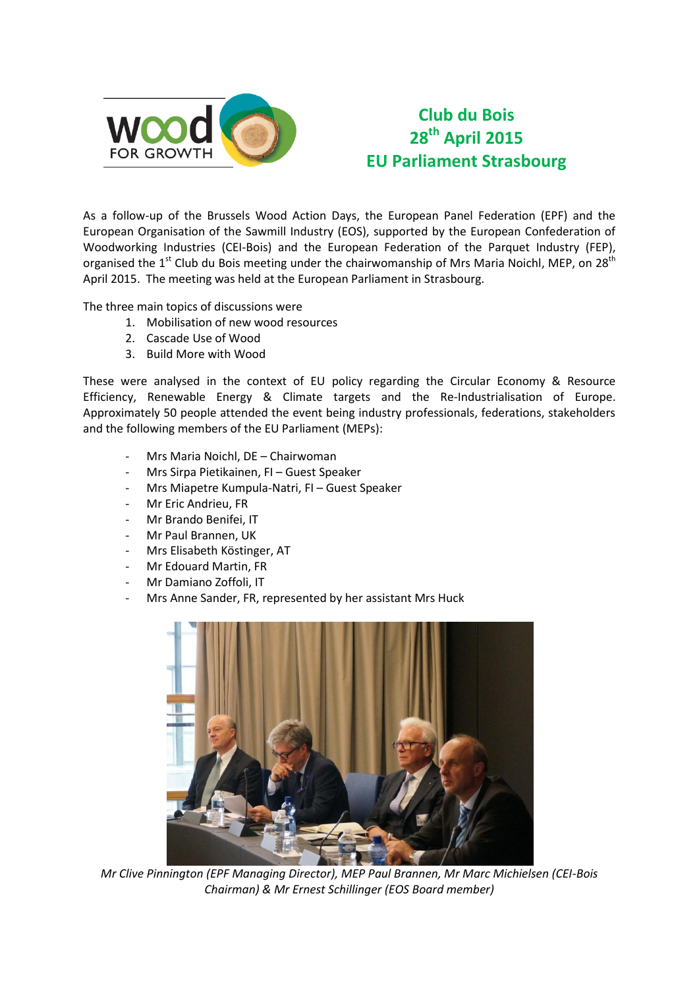

# **Club du Bois 28th April 2015 EU Parliament Strasbourg**

As a follow-up of the Brussels Wood Action Days, the European Panel Federation (EPF) and the European Organisation of the Sawmill Industry (EOS), supported by the European Confederation of Woodworking Industries (CEI-Bois) and the European Federation of the Parquet Industry (FEP), organised the  $1<sup>st</sup>$  Club du Bois meeting under the chairwomanship of Mrs Maria Noichl, MEP, on 28<sup>th</sup> April 2015. The meeting was held at the European Parliament in Strasbourg.

The three main topics of discussions were

- 1. Mobilisation of new wood resources
- 2. Cascade Use of Wood
- 3. Build More with Wood

These were analysed in the context of EU policy regarding the Circular Economy & Resource Efficiency, Renewable Energy & Climate targets and the Re-Industrialisation of Europe. Approximately 50 people attended the event being industry professionals, federations, stakeholders and the following members of the EU Parliament (MEPs):

- Mrs Maria Noichl, DE Chairwoman
- Mrs Sirpa Pietikainen, FI Guest Speaker
- Mrs Miapetre Kumpula-Natri, FI Guest Speaker
- Mr Eric Andrieu, FR
- Mr Brando Benifei, IT
- Mr Paul Brannen, UK
- Mrs Elisabeth Köstinger, AT
- Mr Edouard Martin, FR
- Mr Damiano Zoffoli, IT
- Mrs Anne Sander, FR, represented by her assistant Mrs Huck



*Mr Clive Pinnington (EPF Managing Director), MEP Paul Brannen, Mr Marc Michielsen (CEI-Bois Chairman) & Mr Ernest Schillinger (EOS Board member)*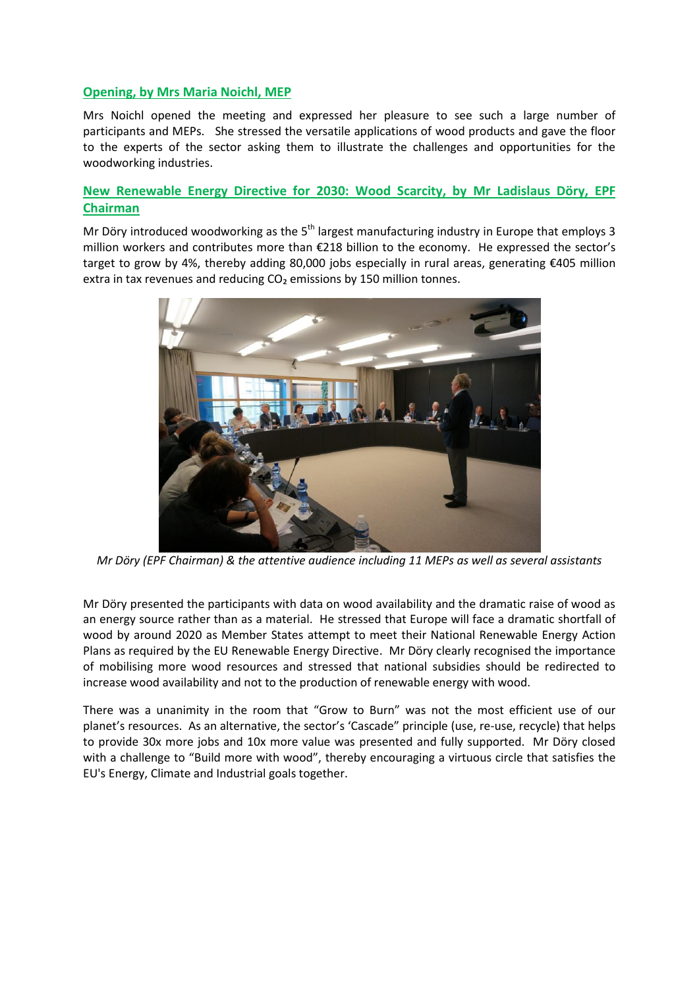### **Opening, by Mrs Maria Noichl, MEP**

Mrs Noichl opened the meeting and expressed her pleasure to see such a large number of participants and MEPs. She stressed the versatile applications of wood products and gave the floor to the experts of the sector asking them to illustrate the challenges and opportunities for the woodworking industries.

## **New Renewable Energy Directive for 2030: Wood Scarcity, by Mr Ladislaus Döry, EPF Chairman**

Mr Döry introduced woodworking as the  $5<sup>th</sup>$  largest manufacturing industry in Europe that employs 3 million workers and contributes more than €218 billion to the economy. He expressed the sector's target to grow by 4%, thereby adding 80,000 jobs especially in rural areas, generating €405 million extra in tax revenues and reducing CO<sub>2</sub> emissions by 150 million tonnes.



*Mr Döry (EPF Chairman) & the attentive audience including 11 MEPs as well as several assistants*

Mr Döry presented the participants with data on wood availability and the dramatic raise of wood as an energy source rather than as a material. He stressed that Europe will face a dramatic shortfall of wood by around 2020 as Member States attempt to meet their National Renewable Energy Action Plans as required by the EU Renewable Energy Directive. Mr Döry clearly recognised the importance of mobilising more wood resources and stressed that national subsidies should be redirected to increase wood availability and not to the production of renewable energy with wood.

There was a unanimity in the room that "Grow to Burn" was not the most efficient use of our planet's resources. As an alternative, the sector's 'Cascade" principle (use, re-use, recycle) that helps to provide 30x more jobs and 10x more value was presented and fully supported. Mr Döry closed with a challenge to "Build more with wood", thereby encouraging a virtuous circle that satisfies the EU's Energy, Climate and Industrial goals together.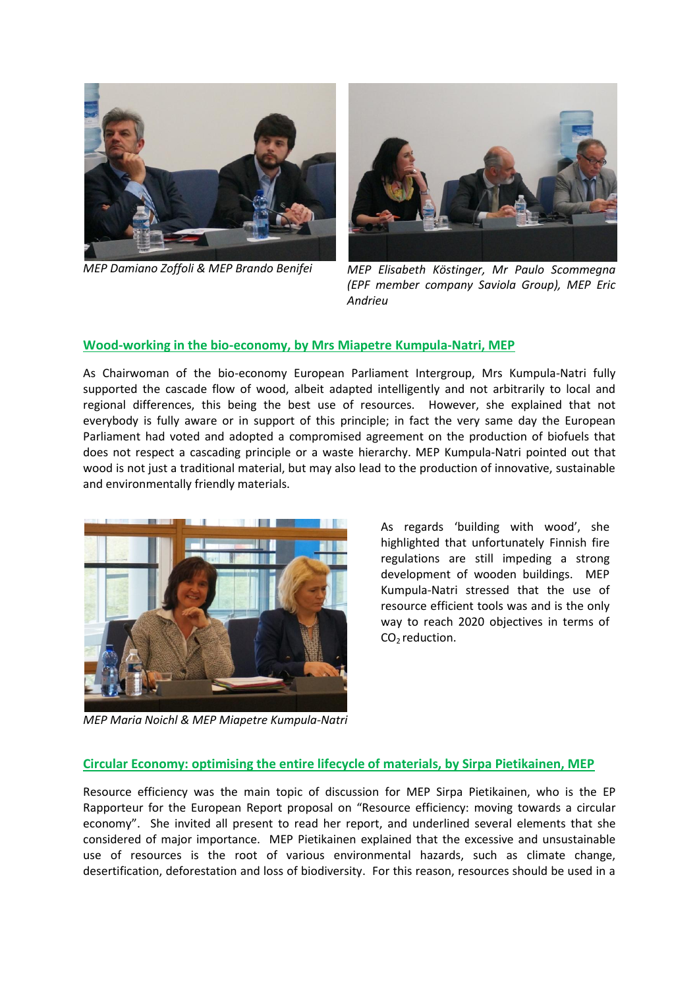



*MEP Damiano Zoffoli & MEP Brando Benifei MEP Elisabeth Köstinger, Mr Paulo Scommegna (EPF member company Saviola Group), MEP Eric Andrieu* 

#### **Wood-working in the bio-economy, by Mrs Miapetre Kumpula-Natri, MEP**

As Chairwoman of the bio-economy European Parliament Intergroup, Mrs Kumpula-Natri fully supported the cascade flow of wood, albeit adapted intelligently and not arbitrarily to local and regional differences, this being the best use of resources. However, she explained that not everybody is fully aware or in support of this principle; in fact the very same day the European Parliament had voted and adopted a compromised agreement on the production of biofuels that does not respect a cascading principle or a waste hierarchy. MEP Kumpula-Natri pointed out that wood is not just a traditional material, but may also lead to the production of innovative, sustainable and environmentally friendly materials.



As regards 'building with wood', she highlighted that unfortunately Finnish fire regulations are still impeding a strong development of wooden buildings. MEP Kumpula-Natri stressed that the use of resource efficient tools was and is the only way to reach 2020 objectives in terms of  $CO<sub>2</sub>$  reduction.

*MEP Maria Noichl & MEP Miapetre Kumpula-Natri* 

#### **Circular Economy: optimising the entire lifecycle of materials, by Sirpa Pietikainen, MEP**

Resource efficiency was the main topic of discussion for MEP Sirpa Pietikainen, who is the EP Rapporteur for the European Report proposal on "Resource efficiency: moving towards a circular economy". She invited all present to read her report, and underlined several elements that she considered of major importance. MEP Pietikainen explained that the excessive and unsustainable use of resources is the root of various environmental hazards, such as climate change, desertification, deforestation and loss of biodiversity. For this reason, resources should be used in a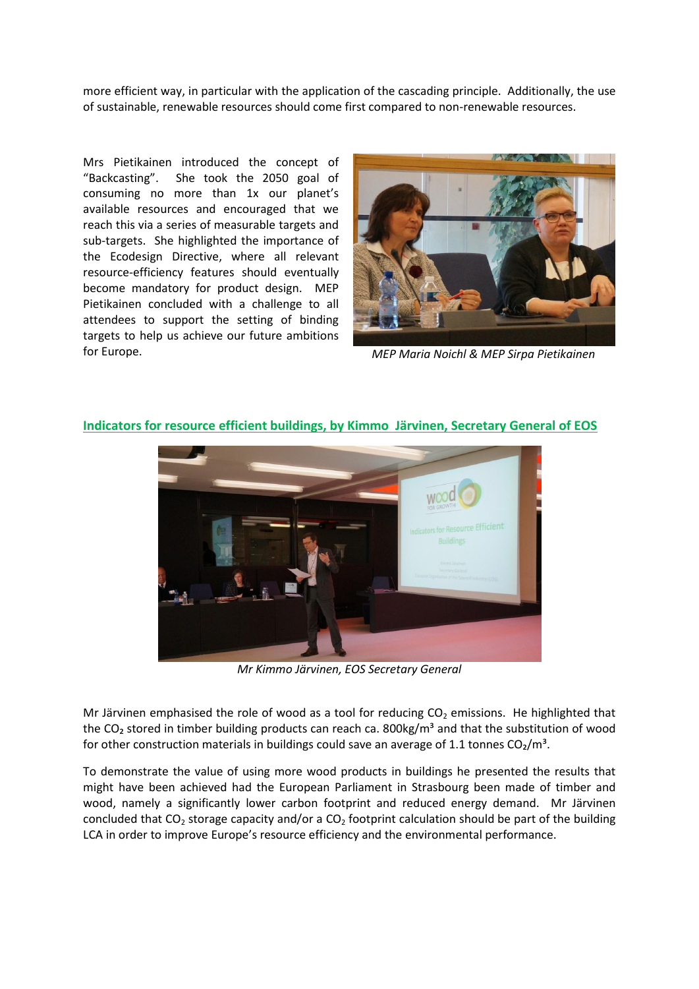more efficient way, in particular with the application of the cascading principle. Additionally, the use of sustainable, renewable resources should come first compared to non-renewable resources.

Mrs Pietikainen introduced the concept of "Backcasting". She took the 2050 goal of consuming no more than 1x our planet's available resources and encouraged that we reach this via a series of measurable targets and sub-targets. She highlighted the importance of the Ecodesign Directive, where all relevant resource-efficiency features should eventually become mandatory for product design. MEP Pietikainen concluded with a challenge to all attendees to support the setting of binding targets to help us achieve our future ambitions for Europe. *MEP Maria Noichl & MEP Sirpa Pietikainen*





## **Indicators for resource efficient buildings, by Kimmo Järvinen, Secretary General of EOS**

*Mr Kimmo Järvinen, EOS Secretary General*

Mr Järvinen emphasised the role of wood as a tool for reducing  $CO<sub>2</sub>$  emissions. He highlighted that the CO<sub>2</sub> stored in timber building products can reach ca. 800kg/m<sup>3</sup> and that the substitution of wood for other construction materials in buildings could save an average of 1.1 tonnes  $CO<sub>2</sub>/m<sup>3</sup>$ .

To demonstrate the value of using more wood products in buildings he presented the results that might have been achieved had the European Parliament in Strasbourg been made of timber and wood, namely a significantly lower carbon footprint and reduced energy demand. Mr Järvinen concluded that  $CO_2$  storage capacity and/or a  $CO_2$  footprint calculation should be part of the building LCA in order to improve Europe's resource efficiency and the environmental performance.